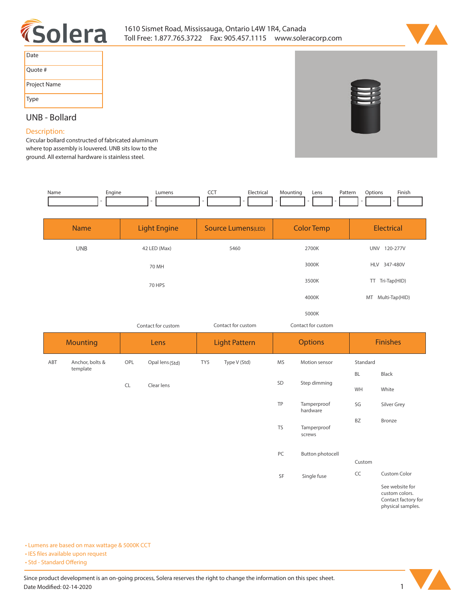



| Date         |
|--------------|
| Ouote #      |
| Project Name |
| Type         |

## **UNB - Bollard**

## **Description:**

**Circular bollard constructed of fabricated aluminum where top assembly is louvered. UNB sits low to the ground. All external hardware is stainless steel.** 

| Name | Engine | umens | --- | Electrica | Lens | Pattern<br>. | Finish<br>)ptions |
|------|--------|-------|-----|-----------|------|--------------|-------------------|
|      |        |       |     |           |      |              |                   |

| <b>Name</b> | <b>Light Engine</b> | <b>Source Lumens(LED)</b> | <b>Color Temp</b>  | <b>Electrical</b>      |
|-------------|---------------------|---------------------------|--------------------|------------------------|
| <b>UNB</b>  | 42 LED (Max)        | 5460                      | 2700K              | 120-277V<br><b>UNV</b> |
|             | 70 MH               |                           | 3000K              | HLV 347-480V           |
|             | 70 HPS              |                           | 3500K              | TT Tri-Tap(HID)        |
|             |                     |                           | 4000K              | Multi-Tap(HID)<br>MT   |
|             |                     |                           | 5000K              |                        |
|             | Contact for custom  | Contact for custom        | Contact for custom |                        |

| <b>Mounting</b> |                 | Lens      |                 | <b>Light Pattern</b> |              | <b>Options</b> |                         | <b>Finishes</b> |                                                          |
|-----------------|-----------------|-----------|-----------------|----------------------|--------------|----------------|-------------------------|-----------------|----------------------------------------------------------|
| ABT             | Anchor, bolts & | OPL       | Opal lens (Std) | TY5                  | Type V (Std) | MS             | Motion sensor           | Standard        |                                                          |
|                 | template        |           |                 |                      |              |                |                         | BL              | Black                                                    |
|                 |                 | <b>CL</b> | Clear lens      |                      |              | SD             | Step dimming            | WH              | White                                                    |
|                 |                 |           |                 |                      |              | TP             | Tamperproof<br>hardware | SG              | Silver Grey                                              |
|                 |                 |           |                 |                      |              | <b>TS</b>      | Tamperproof<br>screws   | <b>BZ</b>       | Bronze                                                   |
|                 |                 |           |                 |                      |              | PC             | Button photocell        |                 |                                                          |
|                 |                 |           |                 |                      |              |                | Custom                  |                 |                                                          |
|                 |                 |           |                 |                      |              | SF             | Single fuse             | CC              | Custom Color                                             |
|                 |                 |           |                 |                      |              |                |                         |                 | See website for<br>custom colors.<br>Contact factory for |

**physical samples.** 

**• Lumens are based on max wattage & 5000K CCT**

**• IES files available upon request** 

• Std - Standard Offering